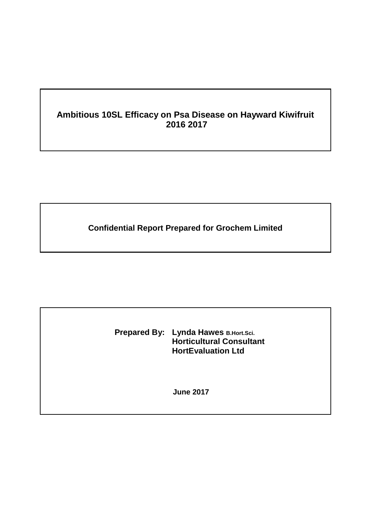# **Ambitious 10SL Efficacy on Psa Disease on Hayward Kiwifruit 2016 2017**

**Confidential Report Prepared for Grochem Limited**

**Prepared By: Lynda Hawes B.Hort.Sci. Horticultural Consultant HortEvaluation Ltd**

**June 2017**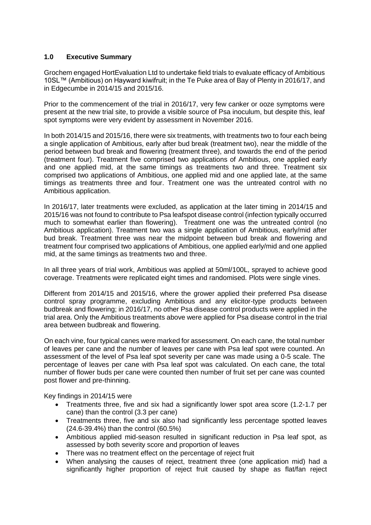## **1.0 Executive Summary**

Grochem engaged HortEvaluation Ltd to undertake field trials to evaluate efficacy of Ambitious 10SL™ (Ambitious) on Hayward kiwifruit; in the Te Puke area of Bay of Plenty in 2016/17, and in Edgecumbe in 2014/15 and 2015/16.

Prior to the commencement of the trial in 2016/17, very few canker or ooze symptoms were present at the new trial site, to provide a visible source of Psa inoculum, but despite this, leaf spot symptoms were very evident by assessment in November 2016.

In both 2014/15 and 2015/16, there were six treatments, with treatments two to four each being a single application of Ambitious, early after bud break (treatment two), near the middle of the period between bud break and flowering (treatment three), and towards the end of the period (treatment four). Treatment five comprised two applications of Ambitious, one applied early and one applied mid, at the same timings as treatments two and three. Treatment six comprised two applications of Ambitious, one applied mid and one applied late, at the same timings as treatments three and four. Treatment one was the untreated control with no Ambitious application.

In 2016/17, later treatments were excluded, as application at the later timing in 2014/15 and 2015/16 was not found to contribute to Psa leafspot disease control (infection typically occurred much to somewhat earlier than flowering). Treatment one was the untreated control (no Ambitious application). Treatment two was a single application of Ambitious, early/mid after bud break. Treatment three was near the midpoint between bud break and flowering and treatment four comprised two applications of Ambitious, one applied early/mid and one applied mid, at the same timings as treatments two and three.

In all three years of trial work, Ambitious was applied at 50ml/100L, sprayed to achieve good coverage. Treatments were replicated eight times and randomised. Plots were single vines.

Different from 2014/15 and 2015/16, where the grower applied their preferred Psa disease control spray programme, excluding Ambitious and any elicitor-type products between budbreak and flowering; in 2016/17, no other Psa disease control products were applied in the trial area. Only the Ambitious treatments above were applied for Psa disease control in the trial area between budbreak and flowering.

On each vine, four typical canes were marked for assessment. On each cane, the total number of leaves per cane and the number of leaves per cane with Psa leaf spot were counted. An assessment of the level of Psa leaf spot severity per cane was made using a 0-5 scale. The percentage of leaves per cane with Psa leaf spot was calculated. On each cane, the total number of flower buds per cane were counted then number of fruit set per cane was counted post flower and pre-thinning.

Key findings in 2014/15 were

- Treatments three, five and six had a significantly lower spot area score (1.2-1.7 per cane) than the control (3.3 per cane)
- Treatments three, five and six also had significantly less percentage spotted leaves (24.6-39.4%) than the control (60.5%)
- Ambitious applied mid-season resulted in significant reduction in Psa leaf spot, as assessed by both severity score and proportion of leaves
- There was no treatment effect on the percentage of reject fruit
- When analysing the causes of reject, treatment three (one application mid) had a significantly higher proportion of reject fruit caused by shape as flat/fan reject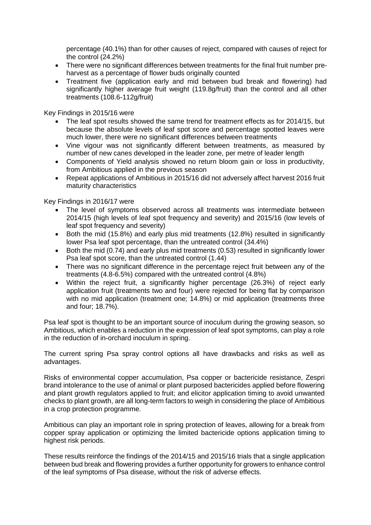percentage (40.1%) than for other causes of reject, compared with causes of reject for the control (24.2%)

- There were no significant differences between treatments for the final fruit number preharvest as a percentage of flower buds originally counted
- Treatment five (application early and mid between bud break and flowering) had significantly higher average fruit weight (119.8g/fruit) than the control and all other treatments (108.6-112g/fruit)

Key Findings in 2015/16 were

- The leaf spot results showed the same trend for treatment effects as for 2014/15, but because the absolute levels of leaf spot score and percentage spotted leaves were much lower, there were no significant differences between treatments
- Vine vigour was not significantly different between treatments, as measured by number of new canes developed in the leader zone, per metre of leader length
- Components of Yield analysis showed no return bloom gain or loss in productivity, from Ambitious applied in the previous season
- Repeat applications of Ambitious in 2015/16 did not adversely affect harvest 2016 fruit maturity characteristics

Key Findings in 2016/17 were

- The level of symptoms observed across all treatments was intermediate between 2014/15 (high levels of leaf spot frequency and severity) and 2015/16 (low levels of leaf spot frequency and severity)
- Both the mid (15.8%) and early plus mid treatments (12.8%) resulted in significantly lower Psa leaf spot percentage, than the untreated control (34.4%)
- Both the mid (0.74) and early plus mid treatments (0.53) resulted in significantly lower Psa leaf spot score, than the untreated control (1.44)
- There was no significant difference in the percentage reject fruit between any of the treatments (4.8-6.5%) compared with the untreated control (4.8%)
- Within the reject fruit, a significantly higher percentage (26.3%) of reject early application fruit (treatments two and four) were rejected for being flat by comparison with no mid application (treatment one; 14.8%) or mid application (treatments three and four; 18.7%).

Psa leaf spot is thought to be an important source of inoculum during the growing season, so Ambitious, which enables a reduction in the expression of leaf spot symptoms, can play a role in the reduction of in-orchard inoculum in spring.

The current spring Psa spray control options all have drawbacks and risks as well as advantages.

Risks of environmental copper accumulation, Psa copper or bactericide resistance, Zespri brand intolerance to the use of animal or plant purposed bactericides applied before flowering and plant growth regulators applied to fruit; and elicitor application timing to avoid unwanted checks to plant growth, are all long-term factors to weigh in considering the place of Ambitious in a crop protection programme.

Ambitious can play an important role in spring protection of leaves, allowing for a break from copper spray application or optimizing the limited bactericide options application timing to highest risk periods.

These results reinforce the findings of the 2014/15 and 2015/16 trials that a single application between bud break and flowering provides a further opportunity for growers to enhance control of the leaf symptoms of Psa disease, without the risk of adverse effects.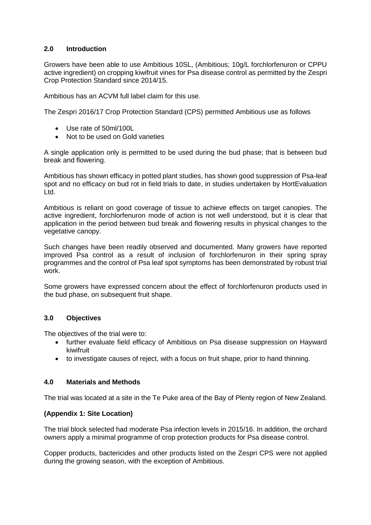## **2.0 Introduction**

Growers have been able to use Ambitious 10SL, (Ambitious; 10g/L forchlorfenuron or CPPU active ingredient) on cropping kiwifruit vines for Psa disease control as permitted by the Zespri Crop Protection Standard since 2014/15.

Ambitious has an ACVM full label claim for this use.

The Zespri 2016/17 Crop Protection Standard (CPS) permitted Ambitious use as follows

- Use rate of 50ml/100L
- Not to be used on Gold varieties

A single application only is permitted to be used during the bud phase; that is between bud break and flowering.

Ambitious has shown efficacy in potted plant studies, has shown good suppression of Psa-leaf spot and no efficacy on bud rot in field trials to date, in studies undertaken by HortEvaluation Ltd.

Ambitious is reliant on good coverage of tissue to achieve effects on target canopies. The active ingredient, forchlorfenuron mode of action is not well understood, but it is clear that application in the period between bud break and flowering results in physical changes to the vegetative canopy.

Such changes have been readily observed and documented. Many growers have reported improved Psa control as a result of inclusion of forchlorfenuron in their spring spray programmes and the control of Psa leaf spot symptoms has been demonstrated by robust trial work.

Some growers have expressed concern about the effect of forchlorfenuron products used in the bud phase, on subsequent fruit shape.

## **3.0 Objectives**

The objectives of the trial were to:

- further evaluate field efficacy of Ambitious on Psa disease suppression on Hayward kiwifruit
- to investigate causes of reject, with a focus on fruit shape, prior to hand thinning.

### **4.0 Materials and Methods**

The trial was located at a site in the Te Puke area of the Bay of Plenty region of New Zealand.

### **(Appendix 1: Site Location)**

The trial block selected had moderate Psa infection levels in 2015/16. In addition, the orchard owners apply a minimal programme of crop protection products for Psa disease control.

Copper products, bactericides and other products listed on the Zespri CPS were not applied during the growing season, with the exception of Ambitious.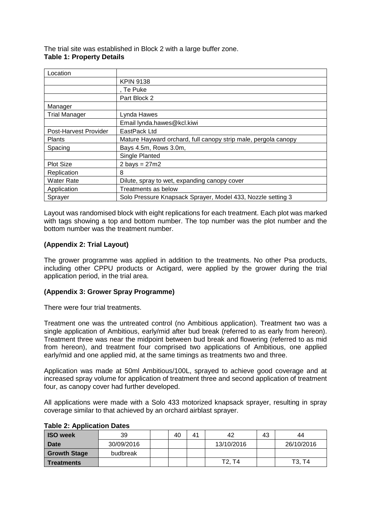The trial site was established in Block 2 with a large buffer zone. **Table 1: Property Details**

| Location              |                                                                |
|-----------------------|----------------------------------------------------------------|
|                       | <b>KPIN 9138</b>                                               |
|                       | , Te Puke                                                      |
|                       | Part Block 2                                                   |
| Manager               |                                                                |
| <b>Trial Manager</b>  | Lynda Hawes                                                    |
|                       | Email lynda.hawes@kcl.kiwi                                     |
| Post-Harvest Provider | EastPack Ltd                                                   |
| <b>Plants</b>         | Mature Hayward orchard, full canopy strip male, pergola canopy |
| Spacing               | Bays 4.5m, Rows 3.0m,                                          |
|                       | Single Planted                                                 |
| <b>Plot Size</b>      | $2 \text{ bays} = 27 \text{m}2$                                |
| Replication           | 8                                                              |
| <b>Water Rate</b>     | Dilute, spray to wet, expanding canopy cover                   |
| Application           | Treatments as below                                            |
| Sprayer               | Solo Pressure Knapsack Sprayer, Model 433, Nozzle setting 3    |

Layout was randomised block with eight replications for each treatment. Each plot was marked with tags showing a top and bottom number. The top number was the plot number and the bottom number was the treatment number.

### **(Appendix 2: Trial Layout)**

The grower programme was applied in addition to the treatments. No other Psa products, including other CPPU products or Actigard, were applied by the grower during the trial application period, in the trial area.

### **(Appendix 3: Grower Spray Programme)**

There were four trial treatments.

Treatment one was the untreated control (no Ambitious application). Treatment two was a single application of Ambitious, early/mid after bud break (referred to as early from hereon). Treatment three was near the midpoint between bud break and flowering (referred to as mid from hereon), and treatment four comprised two applications of Ambitious, one applied early/mid and one applied mid, at the same timings as treatments two and three.

Application was made at 50ml Ambitious/100L, sprayed to achieve good coverage and at increased spray volume for application of treatment three and second application of treatment four, as canopy cover had further developed.

All applications were made with a Solo 433 motorized knapsack sprayer, resulting in spray coverage similar to that achieved by an orchard airblast sprayer.

| $19000$ = $170000000$ |            |    |    |                                 |    |            |
|-----------------------|------------|----|----|---------------------------------|----|------------|
| <b>ISO week</b>       | 39         | 40 | 41 | 42                              | 43 | 44         |
| <b>Date</b>           | 30/09/2016 |    |    | 13/10/2016                      |    | 26/10/2016 |
| <b>Growth Stage</b>   | budbreak   |    |    |                                 |    |            |
| <b>Treatments</b>     |            |    |    | T <sub>2</sub> , T <sub>4</sub> |    | T3, T4     |

#### **Table 2: Application Dates**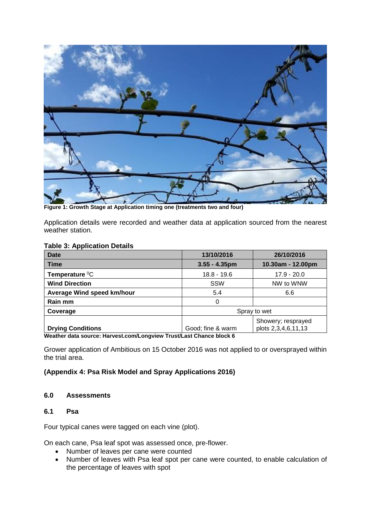

**Figure 1: Growth Stage at Application timing one (treatments two and four)**

Application details were recorded and weather data at application sourced from the nearest weather station.

#### **Table 3: Application Details**

| <b>Date</b>                | 13/10/2016        | 26/10/2016          |
|----------------------------|-------------------|---------------------|
| <b>Time</b>                | $3.55 - 4.35$ pm  | 10.30am - 12.00pm   |
| Temperature <sup>0</sup> C | $18.8 - 19.6$     | $17.9 - 20.0$       |
| <b>Wind Direction</b>      | SSW               | NW to WNW           |
| Average Wind speed km/hour | 5.4               | 6.6                 |
| Rain mm                    | 0                 |                     |
| Coverage                   |                   | Spray to wet        |
|                            |                   | Showery; resprayed  |
| <b>Drying Conditions</b>   | Good; fine & warm | plots 2,3,4,6,11,13 |

**Weather data source: Harvest.com/Longview Trust/Last Chance block 6**

Grower application of Ambitious on 15 October 2016 was not applied to or oversprayed within the trial area.

### **(Appendix 4: Psa Risk Model and Spray Applications 2016)**

#### **6.0 Assessments**

#### **6.1 Psa**

Four typical canes were tagged on each vine (plot).

On each cane, Psa leaf spot was assessed once, pre-flower.

- Number of leaves per cane were counted
- Number of leaves with Psa leaf spot per cane were counted, to enable calculation of the percentage of leaves with spot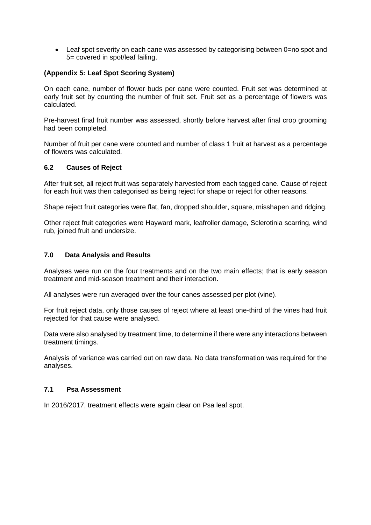• Leaf spot severity on each cane was assessed by categorising between 0=no spot and 5= covered in spot/leaf failing.

## **(Appendix 5: Leaf Spot Scoring System)**

On each cane, number of flower buds per cane were counted. Fruit set was determined at early fruit set by counting the number of fruit set. Fruit set as a percentage of flowers was calculated.

Pre-harvest final fruit number was assessed, shortly before harvest after final crop grooming had been completed.

Number of fruit per cane were counted and number of class 1 fruit at harvest as a percentage of flowers was calculated.

### **6.2 Causes of Reject**

After fruit set, all reject fruit was separately harvested from each tagged cane. Cause of reject for each fruit was then categorised as being reject for shape or reject for other reasons.

Shape reject fruit categories were flat, fan, dropped shoulder, square, misshapen and ridging.

Other reject fruit categories were Hayward mark, leafroller damage, Sclerotinia scarring, wind rub, joined fruit and undersize.

#### **7.0 Data Analysis and Results**

Analyses were run on the four treatments and on the two main effects; that is early season treatment and mid-season treatment and their interaction.

All analyses were run averaged over the four canes assessed per plot (vine).

For fruit reject data, only those causes of reject where at least one-third of the vines had fruit rejected for that cause were analysed.

Data were also analysed by treatment time, to determine if there were any interactions between treatment timings.

Analysis of variance was carried out on raw data. No data transformation was required for the analyses.

#### **7.1 Psa Assessment**

In 2016/2017, treatment effects were again clear on Psa leaf spot.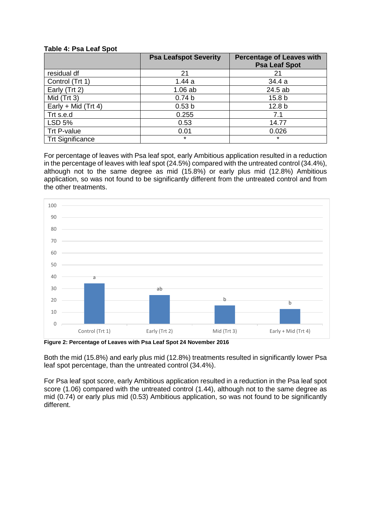#### **Table 4: Psa Leaf Spot**

|                         | <b>Psa Leafspot Severity</b> | <b>Percentage of Leaves with</b><br><b>Psa Leaf Spot</b> |
|-------------------------|------------------------------|----------------------------------------------------------|
| residual df             | 21                           | 21                                                       |
| Control (Trt 1)         | 1.44a                        | 34.4 a                                                   |
| Early (Trt 2)           | $1.06$ ab                    | 24.5 ab                                                  |
| Mid $(Trt 3)$           | 0.74 <sub>b</sub>            | 15.8 <sub>b</sub>                                        |
| Early + Mid (Trt 4)     | 0.53 <sub>b</sub>            | 12.8 <sub>b</sub>                                        |
| Trt s.e.d               | 0.255                        | 7.1                                                      |
| <b>LSD 5%</b>           | 0.53                         | 14.77                                                    |
| Trt P-value             | 0.01                         | 0.026                                                    |
| <b>Trt Significance</b> | $\star$                      | $\star$                                                  |

For percentage of leaves with Psa leaf spot, early Ambitious application resulted in a reduction in the percentage of leaves with leaf spot (24.5%) compared with the untreated control (34.4%), although not to the same degree as mid (15.8%) or early plus mid (12.8%) Ambitious application, so was not found to be significantly different from the untreated control and from the other treatments.



**Figure 2: Percentage of Leaves with Psa Leaf Spot 24 November 2016**

Both the mid (15.8%) and early plus mid (12.8%) treatments resulted in significantly lower Psa leaf spot percentage, than the untreated control (34.4%).

For Psa leaf spot score, early Ambitious application resulted in a reduction in the Psa leaf spot score (1.06) compared with the untreated control (1.44), although not to the same degree as mid (0.74) or early plus mid (0.53) Ambitious application, so was not found to be significantly different.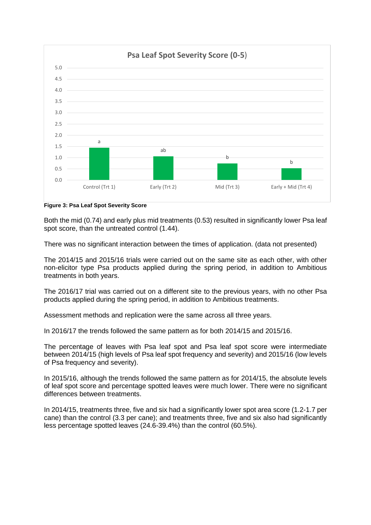

**Figure 3: Psa Leaf Spot Severity Score**

Both the mid (0.74) and early plus mid treatments (0.53) resulted in significantly lower Psa leaf spot score, than the untreated control (1.44).

There was no significant interaction between the times of application. (data not presented)

The 2014/15 and 2015/16 trials were carried out on the same site as each other, with other non-elicitor type Psa products applied during the spring period, in addition to Ambitious treatments in both years.

The 2016/17 trial was carried out on a different site to the previous years, with no other Psa products applied during the spring period, in addition to Ambitious treatments.

Assessment methods and replication were the same across all three years.

In 2016/17 the trends followed the same pattern as for both 2014/15 and 2015/16.

The percentage of leaves with Psa leaf spot and Psa leaf spot score were intermediate between 2014/15 (high levels of Psa leaf spot frequency and severity) and 2015/16 (low levels of Psa frequency and severity).

In 2015/16, although the trends followed the same pattern as for 2014/15, the absolute levels of leaf spot score and percentage spotted leaves were much lower. There were no significant differences between treatments.

In 2014/15, treatments three, five and six had a significantly lower spot area score (1.2-1.7 per cane) than the control (3.3 per cane); and treatments three, five and six also had significantly less percentage spotted leaves (24.6-39.4%) than the control (60.5%).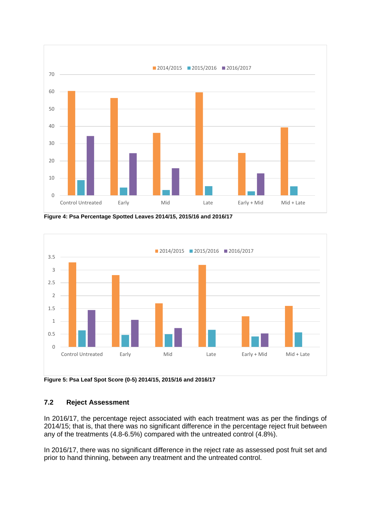

**Figure 4: Psa Percentage Spotted Leaves 2014/15, 2015/16 and 2016/17**



**Figure 5: Psa Leaf Spot Score (0-5) 2014/15, 2015/16 and 2016/17**

## **7.2 Reject Assessment**

In 2016/17, the percentage reject associated with each treatment was as per the findings of 2014/15; that is, that there was no significant difference in the percentage reject fruit between any of the treatments (4.8-6.5%) compared with the untreated control (4.8%).

In 2016/17, there was no significant difference in the reject rate as assessed post fruit set and prior to hand thinning, between any treatment and the untreated control.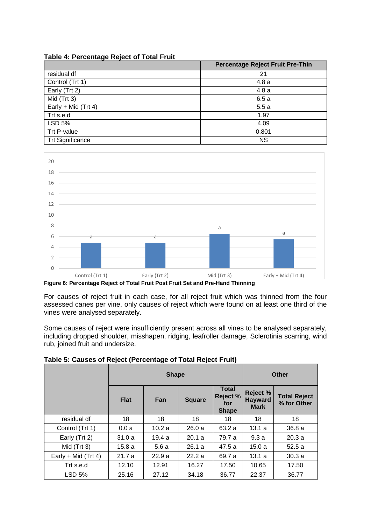|  | Table 4: Percentage Reject of Total Fruit |
|--|-------------------------------------------|
|  |                                           |

|                         | <b>Percentage Reject Fruit Pre-Thin</b> |
|-------------------------|-----------------------------------------|
| residual df             | 21                                      |
| Control (Trt 1)         | 4.8a                                    |
| Early (Trt 2)           | 4.8a                                    |
| Mid (Trt 3)             | 6.5a                                    |
| Early + Mid (Trt 4)     | 5.5a                                    |
| Trt s.e.d               | 1.97                                    |
| LSD 5%                  | 4.09                                    |
| Trt P-value             | 0.801                                   |
| <b>Trt Significance</b> | <b>NS</b>                               |



**Figure 6: Percentage Reject of Total Fruit Post Fruit Set and Pre-Hand Thinning**

For causes of reject fruit in each case, for all reject fruit which was thinned from the four assessed canes per vine, only causes of reject which were found on at least one third of the vines were analysed separately.

Some causes of reject were insufficiently present across all vines to be analysed separately, including dropped shoulder, misshapen, ridging, leafroller damage, Sclerotinia scarring, wind rub, joined fruit and undersize.

|                       |             | <b>Shape</b> | Other         |                                                        |                                                  |                                    |
|-----------------------|-------------|--------------|---------------|--------------------------------------------------------|--------------------------------------------------|------------------------------------|
|                       | <b>Flat</b> | Fan          | <b>Square</b> | <b>Total</b><br><b>Reject %</b><br>for<br><b>Shape</b> | <b>Reject %</b><br><b>Hayward</b><br><b>Mark</b> | <b>Total Reject</b><br>% for Other |
| residual df           | 18          | 18           | 18            | 18                                                     | 18                                               | 18                                 |
| Control (Trt 1)       | 0.0a        | 10.2a        | 26.0a         | 63.2 a                                                 | 13.1a                                            | 36.8a                              |
| Early (Trt 2)         | 31.0a       | 19.4 a       | 20.1 a        | 79.7 a                                                 | 9.3a                                             | 20.3a                              |
| Mid $(Trt 3)$         | 15.8 a      | 5.6a         | 26.1a         | 47.5a                                                  | 15.0a                                            | 52.5a                              |
| Early + Mid $(Trt 4)$ | 21.7a       | 22.9a        | 22.2a         | 69.7 a                                                 | 13.1a                                            | 30.3a                              |
| Trt s.e.d             | 12.10       | 12.91        | 16.27         | 17.50                                                  | 10.65                                            | 17.50                              |
| <b>LSD 5%</b>         | 25.16       | 27.12        | 34.18         | 36.77                                                  | 22.37                                            | 36.77                              |

**Table 5: Causes of Reject (Percentage of Total Reject Fruit)**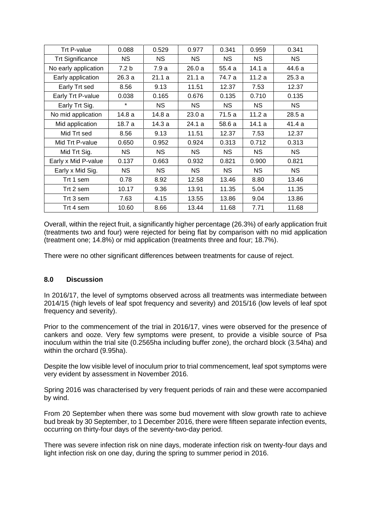| Trt P-value             | 0.088            | 0.529  | 0.977     | 0.341     | 0.959     | 0.341  |
|-------------------------|------------------|--------|-----------|-----------|-----------|--------|
| <b>Trt Significance</b> | NS.              | NS.    | <b>NS</b> | <b>NS</b> | <b>NS</b> | NS.    |
| No early application    | 7.2 <sub>b</sub> | 7.9 a  | 26.0a     | 55.4 a    | 14.1 a    | 44.6 a |
| Early application       | 26.3 a           | 21.1a  | 21.1a     | 74.7 a    | 11.2a     | 25.3a  |
| Early Trt sed           | 8.56             | 9.13   | 11.51     | 12.37     | 7.53      | 12.37  |
| Early Trt P-value       | 0.038            | 0.165  | 0.676     | 0.135     | 0.710     | 0.135  |
| Early Trt Sig.          | $\star$          | NS.    | <b>NS</b> | <b>NS</b> | <b>NS</b> | NS.    |
| No mid application      | 14.8 a           | 14.8 a | 23.0a     | 71.5 a    | 11.2 a    | 28.5 a |
| Mid application         | 18.7 a           | 14.3 a | 24.1 a    | 58.6 a    | 14.1 a    | 41.4 a |
| Mid Trt sed             | 8.56             | 9.13   | 11.51     | 12.37     | 7.53      | 12.37  |
| Mid Trt P-value         | 0.650            | 0.952  | 0.924     | 0.313     | 0.712     | 0.313  |
| Mid Trt Sig.            | NS.              | NS.    | <b>NS</b> | NS.       | <b>NS</b> | NS.    |
| Early x Mid P-value     | 0.137            | 0.663  | 0.932     | 0.821     | 0.900     | 0.821  |
| Early x Mid Sig.        | NS.              | NS.    | <b>NS</b> | <b>NS</b> | <b>NS</b> | NS.    |
| Trt 1 sem               | 0.78             | 8.92   | 12.58     | 13.46     | 8.80      | 13.46  |
| Trt 2 sem               | 10.17            | 9.36   | 13.91     | 11.35     | 5.04      | 11.35  |
| Trt 3 sem               | 7.63             | 4.15   | 13.55     | 13.86     | 9.04      | 13.86  |
| Trt 4 sem               | 10.60            | 8.66   | 13.44     | 11.68     | 7.71      | 11.68  |

Overall, within the reject fruit, a significantly higher percentage (26.3%) of early application fruit (treatments two and four) were rejected for being flat by comparison with no mid application (treatment one; 14.8%) or mid application (treatments three and four; 18.7%).

There were no other significant differences between treatments for cause of reject.

### **8.0 Discussion**

In 2016/17, the level of symptoms observed across all treatments was intermediate between 2014/15 (high levels of leaf spot frequency and severity) and 2015/16 (low levels of leaf spot frequency and severity).

Prior to the commencement of the trial in 2016/17, vines were observed for the presence of cankers and ooze. Very few symptoms were present, to provide a visible source of Psa inoculum within the trial site (0.2565ha including buffer zone), the orchard block (3.54ha) and within the orchard (9.95ha).

Despite the low visible level of inoculum prior to trial commencement, leaf spot symptoms were very evident by assessment in November 2016.

Spring 2016 was characterised by very frequent periods of rain and these were accompanied by wind.

From 20 September when there was some bud movement with slow growth rate to achieve bud break by 30 September, to 1 December 2016, there were fifteen separate infection events, occurring on thirty-four days of the seventy-two-day period.

There was severe infection risk on nine days, moderate infection risk on twenty-four days and light infection risk on one day, during the spring to summer period in 2016.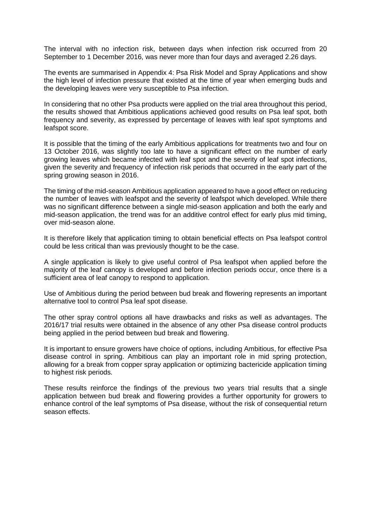The interval with no infection risk, between days when infection risk occurred from 20 September to 1 December 2016, was never more than four days and averaged 2.26 days.

The events are summarised in Appendix 4: Psa Risk Model and Spray Applications and show the high level of infection pressure that existed at the time of year when emerging buds and the developing leaves were very susceptible to Psa infection.

In considering that no other Psa products were applied on the trial area throughout this period, the results showed that Ambitious applications achieved good results on Psa leaf spot, both frequency and severity, as expressed by percentage of leaves with leaf spot symptoms and leafspot score.

It is possible that the timing of the early Ambitious applications for treatments two and four on 13 October 2016, was slightly too late to have a significant effect on the number of early growing leaves which became infected with leaf spot and the severity of leaf spot infections, given the severity and frequency of infection risk periods that occurred in the early part of the spring growing season in 2016.

The timing of the mid-season Ambitious application appeared to have a good effect on reducing the number of leaves with leafspot and the severity of leafspot which developed. While there was no significant difference between a single mid-season application and both the early and mid-season application, the trend was for an additive control effect for early plus mid timing, over mid-season alone.

It is therefore likely that application timing to obtain beneficial effects on Psa leafspot control could be less critical than was previously thought to be the case.

A single application is likely to give useful control of Psa leafspot when applied before the majority of the leaf canopy is developed and before infection periods occur, once there is a sufficient area of leaf canopy to respond to application.

Use of Ambitious during the period between bud break and flowering represents an important alternative tool to control Psa leaf spot disease.

The other spray control options all have drawbacks and risks as well as advantages. The 2016/17 trial results were obtained in the absence of any other Psa disease control products being applied in the period between bud break and flowering.

It is important to ensure growers have choice of options, including Ambitious, for effective Psa disease control in spring. Ambitious can play an important role in mid spring protection, allowing for a break from copper spray application or optimizing bactericide application timing to highest risk periods.

These results reinforce the findings of the previous two years trial results that a single application between bud break and flowering provides a further opportunity for growers to enhance control of the leaf symptoms of Psa disease, without the risk of consequential return season effects.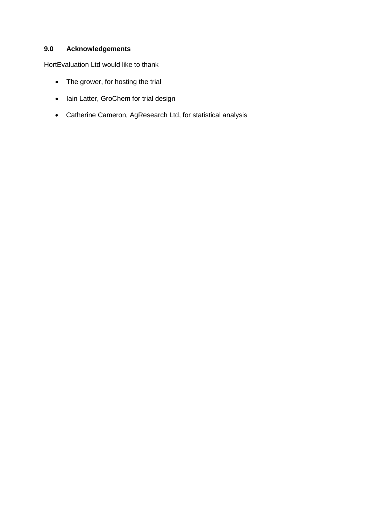## **9.0 Acknowledgements**

HortEvaluation Ltd would like to thank

- The grower, for hosting the trial
- Iain Latter, GroChem for trial design
- Catherine Cameron, AgResearch Ltd, for statistical analysis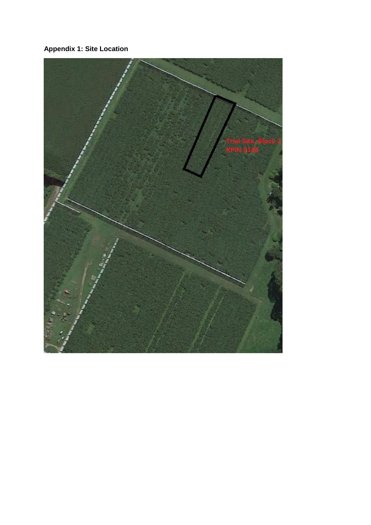**Appendix 1: Site Location**

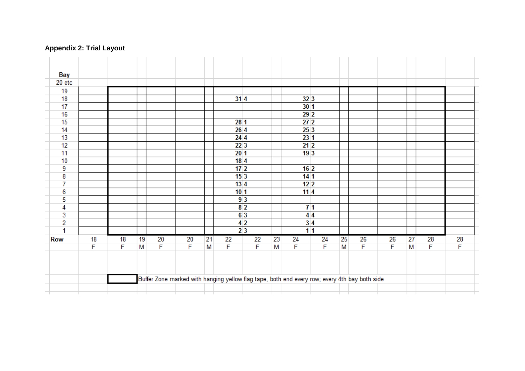## **Appendix 2: Trial Layout**

| Bay<br>20 etc<br>19<br>18<br>17<br>16<br>15<br>14<br>13<br>12<br>11 |    |    |    |    |             |    | 314<br>281       |    |    | 32 3<br>301                                                                                   |    |    |    |    |    |             |    |
|---------------------------------------------------------------------|----|----|----|----|-------------|----|------------------|----|----|-----------------------------------------------------------------------------------------------|----|----|----|----|----|-------------|----|
|                                                                     |    |    |    |    |             |    |                  |    |    |                                                                                               |    |    |    |    |    |             |    |
|                                                                     |    |    |    |    |             |    |                  |    |    |                                                                                               |    |    |    |    |    |             |    |
|                                                                     |    |    |    |    |             |    |                  |    |    |                                                                                               |    |    |    |    |    |             |    |
|                                                                     |    |    |    |    |             |    |                  |    |    |                                                                                               |    |    |    |    |    |             |    |
|                                                                     |    |    |    |    |             |    |                  |    |    |                                                                                               |    |    |    |    |    |             |    |
|                                                                     |    |    |    |    |             |    |                  |    |    | 29 <sup>2</sup>                                                                               |    |    |    |    |    |             |    |
|                                                                     |    |    |    |    |             |    |                  |    |    | 27 <sup>2</sup>                                                                               |    |    |    |    |    |             |    |
|                                                                     |    |    |    |    |             |    | 264              |    |    | 253                                                                                           |    |    |    |    |    |             |    |
|                                                                     |    |    |    |    |             |    | 244              |    |    | 231                                                                                           |    |    |    |    |    |             |    |
|                                                                     |    |    |    |    |             |    | 22 <sup>3</sup>  |    |    | 21 <sup>2</sup>                                                                               |    |    |    |    |    |             |    |
|                                                                     |    |    |    |    |             |    | 201              |    |    | 193                                                                                           |    |    |    |    |    |             |    |
| 10                                                                  |    |    |    |    |             |    | 184              |    |    |                                                                                               |    |    |    |    |    |             |    |
| 9                                                                   |    |    |    |    |             |    | 17 <sup>2</sup>  |    |    | 16 <sup>2</sup>                                                                               |    |    |    |    |    |             |    |
| 8                                                                   |    |    |    |    |             |    | 153              |    |    | 14 <sup>1</sup>                                                                               |    |    |    |    |    |             |    |
| 7                                                                   |    |    |    |    |             |    | $13\overline{4}$ |    |    | 12 <sup>2</sup>                                                                               |    |    |    |    |    |             |    |
| 6                                                                   |    |    |    |    |             |    | 101              |    |    | 114                                                                                           |    |    |    |    |    |             |    |
| 5                                                                   |    |    |    |    |             |    | 93               |    |    |                                                                                               |    |    |    |    |    |             |    |
| 4                                                                   |    |    |    |    |             |    | 8 <sup>2</sup>   |    |    | 71                                                                                            |    |    |    |    |    |             |    |
| 3                                                                   |    |    |    |    |             |    | 63               |    |    | 44                                                                                            |    |    |    |    |    |             |    |
| $\overline{2}$                                                      |    |    |    |    |             |    | 4 <sup>2</sup>   |    |    | 3 4                                                                                           |    |    |    |    |    |             |    |
| 1                                                                   |    |    |    |    |             |    | 23               |    |    | 11                                                                                            |    |    |    |    |    |             |    |
| Row                                                                 | 18 | 18 | 19 | 20 | 20          | 21 | 22               | 22 | 23 | 24                                                                                            | 24 | 25 | 26 | 26 | 27 | 28          | 28 |
|                                                                     | F  | F  | M  | F  | $\mathsf F$ | M  | F                | F  | M  | $\mathsf F$                                                                                   | F  | M  | F  | F  | M  | $\mathsf F$ | F  |
|                                                                     |    |    |    |    |             |    |                  |    |    |                                                                                               |    |    |    |    |    |             |    |
|                                                                     |    |    |    |    |             |    |                  |    |    | Buffer Zone marked with hanging yellow flag tape, both end every row; every 4th bay both side |    |    |    |    |    |             |    |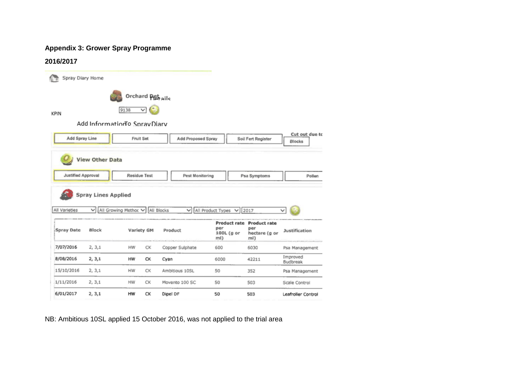## **Appendix 3: Grower Spray Programme**

#### **2016/2017**

|                                            | Spray Diary Home                |                                             |              |                               |                                     |                                                          |                      |
|--------------------------------------------|---------------------------------|---------------------------------------------|--------------|-------------------------------|-------------------------------------|----------------------------------------------------------|----------------------|
|                                            |                                 | Orchard Petails                             |              |                               |                                     |                                                          |                      |
| KPIN                                       |                                 | 9138                                        | $\checkmark$ |                               |                                     |                                                          |                      |
|                                            | Add Information o SpravDiarv    |                                             |              |                               |                                     |                                                          |                      |
| Add Spray Line                             |                                 | <b>Fruit Set</b>                            |              | Add Proposed Spray            |                                     | Soil Fert Register                                       | Cut out due to       |
|                                            |                                 |                                             |              |                               |                                     |                                                          | <b>Blocks</b>        |
|                                            |                                 |                                             |              |                               |                                     |                                                          |                      |
| <b>Justified Approval</b><br>All Varieties | <b>Spray Lines Applied</b><br>◡ | <b>Residue Test</b><br>All Growing Methoc V |              | Pest Monitoring<br>All Blocks | V All Product Types<br>$\checkmark$ | Psa Symptoms<br>2017                                     | Pollen<br>v          |
| <b>Spray Date</b>                          | Block                           | Variety GM                                  |              | Product                       | per<br>100L (g or<br>ml)            | Product rate Product rate<br>per<br>hectare (g or<br>ml) | <b>Justification</b> |
| 7/07/2016                                  | 2, 3, 1                         | HW                                          | СK           | Copper Sulphate               | 600                                 | 6030                                                     | Psa Management       |
| 8/08/2016                                  | 2, 3, 1                         | HW                                          | СК           | Cyan                          | 6000                                | 42211                                                    | Improved<br>Budbreak |
| 15/10/2016                                 | 2, 3, 1                         | HW                                          | СK           | Ambitious 10SL                | 50                                  | 352                                                      | Psa Management       |
| 1/11/2016                                  | 2, 3, 1                         | HW                                          | СK           | Movento 100 SC                | 50                                  | 503                                                      | Scale Control        |
| 6/01/2017                                  | 2, 3, 1                         | HW                                          | CK           | Dipel DF                      | 50                                  | 503                                                      | Leafroller Control   |

NB: Ambitious 10SL applied 15 October 2016, was not applied to the trial area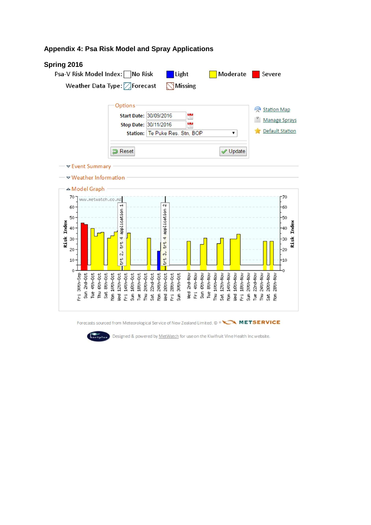## **Appendix 4: Psa Risk Model and Spray Applications**

### **Spring 2016**





**Tortplus** Designed & powered by MetWatch for use on the Kiwifruit Vine Health Inc website.